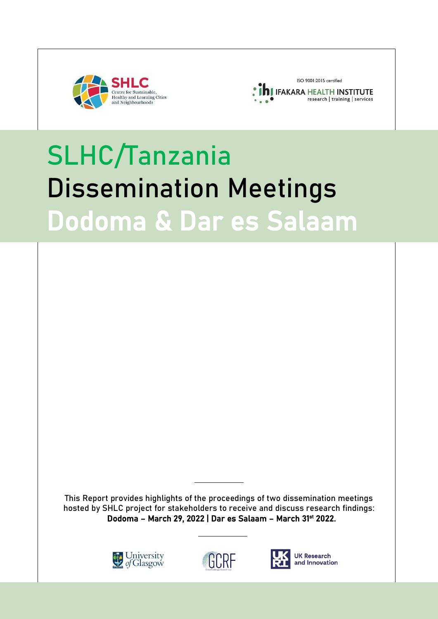



# SLHC/Tanzania Dissemination Meetings Dodoma & Dar es Salaam

This Report provides highlights of the proceedings of two dissemination meetings hosted by SHLC project for stakeholders to receive and discuss research findings: Dodoma - March 29, 2022 | Dar es Salaam - March 31st 2022.







**UK Research** and Innovation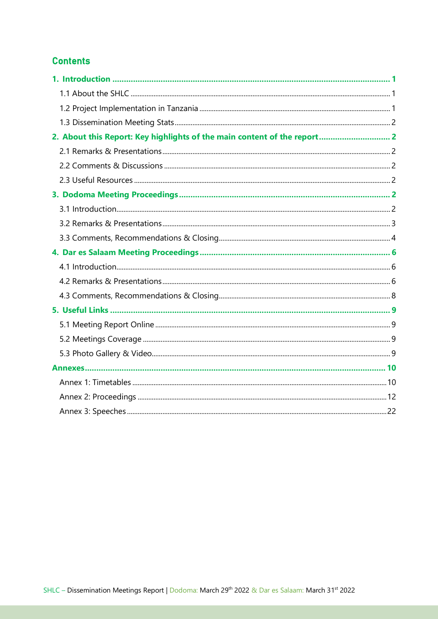# **Contents**

| 2. About this Report: Key highlights of the main content of the report 2 |  |
|--------------------------------------------------------------------------|--|
|                                                                          |  |
|                                                                          |  |
|                                                                          |  |
|                                                                          |  |
|                                                                          |  |
|                                                                          |  |
|                                                                          |  |
|                                                                          |  |
|                                                                          |  |
|                                                                          |  |
|                                                                          |  |
|                                                                          |  |
|                                                                          |  |
|                                                                          |  |
|                                                                          |  |
|                                                                          |  |
|                                                                          |  |
|                                                                          |  |
|                                                                          |  |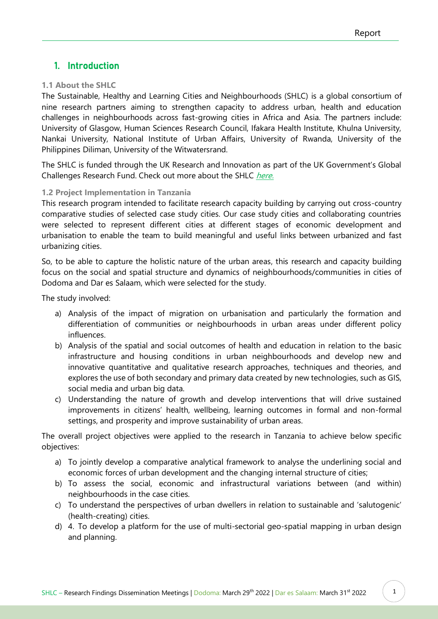# <span id="page-2-0"></span>1. Introduction

## <span id="page-2-1"></span>**1.1 About the SHLC**

The Sustainable, Healthy and Learning Cities and Neighbourhoods (SHLC) is a global consortium of nine research partners aiming to strengthen capacity to address urban, health and education challenges in neighbourhoods across fast-growing cities in Africa and Asia. The partners include: University of Glasgow, Human Sciences Research Council, Ifakara Health Institute, Khulna University, Nankai University, National Institute of Urban Affairs, University of Rwanda, University of the Philippines Diliman, University of the Witwatersrand.

The SHLC is funded through the UK Research and Innovation as part of the UK Government's Global Challenges Research Fund. Check out more about the SHLC [here.](http://www.centreforsustainablecities.ac.uk/about/)

# <span id="page-2-2"></span>**1.2 Project Implementation in Tanzania**

This research program intended to facilitate research capacity building by carrying out cross-country comparative studies of selected case study cities. Our case study cities and collaborating countries were selected to represent different cities at different stages of economic development and urbanisation to enable the team to build meaningful and useful links between urbanized and fast urbanizing cities.

So, to be able to capture the holistic nature of the urban areas, this research and capacity building focus on the social and spatial structure and dynamics of neighbourhoods/communities in cities of Dodoma and Dar es Salaam, which were selected for the study.

The study involved:

- a) Analysis of the impact of migration on urbanisation and particularly the formation and differentiation of communities or neighbourhoods in urban areas under different policy influences.
- b) Analysis of the spatial and social outcomes of health and education in relation to the basic infrastructure and housing conditions in urban neighbourhoods and develop new and innovative quantitative and qualitative research approaches, techniques and theories, and explores the use of both secondary and primary data created by new technologies, such as GIS, social media and urban big data.
- c) Understanding the nature of growth and develop interventions that will drive sustained improvements in citizens' health, wellbeing, learning outcomes in formal and non-formal settings, and prosperity and improve sustainability of urban areas.

The overall project objectives were applied to the research in Tanzania to achieve below specific objectives:

- a) To jointly develop a comparative analytical framework to analyse the underlining social and economic forces of urban development and the changing internal structure of cities;
- b) To assess the social, economic and infrastructural variations between (and within) neighbourhoods in the case cities.
- c) To understand the perspectives of urban dwellers in relation to sustainable and 'salutogenic' (health-creating) cities.
- d) 4. To develop a platform for the use of multi-sectorial geo-spatial mapping in urban design and planning.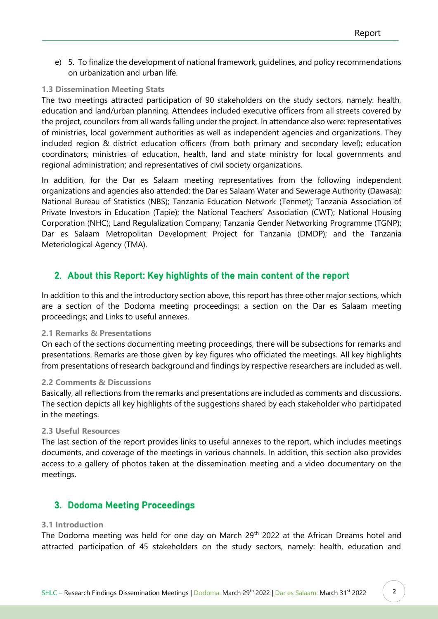e) 5. To finalize the development of national framework, guidelines, and policy recommendations on urbanization and urban life.

# <span id="page-3-0"></span>**1.3 Dissemination Meeting Stats**

The two meetings attracted participation of 90 stakeholders on the study sectors, namely: health, education and land/urban planning. Attendees included executive officers from all streets covered by the project, councilors from all wards falling under the project. In attendance also were: representatives of ministries, local government authorities as well as independent agencies and organizations. They included region & district education officers (from both primary and secondary level); education coordinators; ministries of education, health, land and state ministry for local governments and regional administration; and representatives of civil society organizations.

In addition, for the Dar es Salaam meeting representatives from the following independent organizations and agencies also attended: the Dar es Salaam Water and Sewerage Authority (Dawasa); National Bureau of Statistics (NBS); Tanzania Education Network (Tenmet); Tanzania Association of Private Investors in Education (Tapie); the National Teachers' Association (CWT); National Housing Corporation (NHC); Land Regulalization Company; Tanzania Gender Networking Programme (TGNP); Dar es Salaam Metropolitan Development Project for Tanzania (DMDP); and the Tanzania Meteriological Agency (TMA).

# <span id="page-3-1"></span>2. About this Report: Key highlights of the main content of the report

In addition to this and the introductory section above, this report has three other major sections, which are a section of the Dodoma meeting proceedings; a section on the Dar es Salaam meeting proceedings; and Links to useful annexes.

# <span id="page-3-2"></span>**2.1 Remarks & Presentations**

On each of the sections documenting meeting proceedings, there will be subsections for remarks and presentations. Remarks are those given by key figures who officiated the meetings. All key highlights from presentations of research background and findings by respective researchers are included as well.

## <span id="page-3-3"></span>**2.2 Comments & Discussions**

Basically, all reflections from the remarks and presentations are included as comments and discussions. The section depicts all key highlights of the suggestions shared by each stakeholder who participated in the meetings.

## <span id="page-3-4"></span>**2.3 Useful Resources**

The last section of the report provides links to useful annexes to the report, which includes meetings documents, and coverage of the meetings in various channels. In addition, this section also provides access to a gallery of photos taken at the dissemination meeting and a video documentary on the meetings.

# <span id="page-3-5"></span>3. Dodoma Meeting Proceedings

## <span id="page-3-6"></span>**3.1 Introduction**

The Dodoma meeting was held for one day on March 29<sup>th</sup> 2022 at the African Dreams hotel and attracted participation of 45 stakeholders on the study sectors, namely: health, education and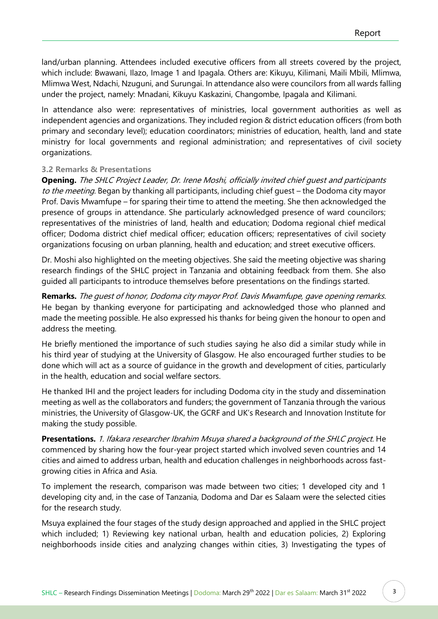land/urban planning. Attendees included executive officers from all streets covered by the project, which include: Bwawani, Ilazo, Image 1 and Ipagala. Others are: Kikuyu, Kilimani, Maili Mbili, Mlimwa, Mlimwa West, Ndachi, Nzuguni, and Surungai. In attendance also were councilors from all wards falling under the project, namely: Mnadani, Kikuyu Kaskazini, Changombe, Ipagala and Kilimani.

In attendance also were: representatives of ministries, local government authorities as well as independent agencies and organizations. They included region & district education officers (from both primary and secondary level); education coordinators; ministries of education, health, land and state ministry for local governments and regional administration; and representatives of civil society organizations.

# <span id="page-4-0"></span>**3.2 Remarks & Presentations**

**Opening.** The SHLC Project Leader, Dr. Irene Moshi, officially invited chief guest and participants to the meeting. Began by thanking all participants, including chief quest – the Dodoma city mayor Prof. Davis Mwamfupe – for sparing their time to attend the meeting. She then acknowledged the presence of groups in attendance. She particularly acknowledged presence of ward councilors; representatives of the ministries of land, health and education; Dodoma regional chief medical officer; Dodoma district chief medical officer; education officers; representatives of civil society organizations focusing on urban planning, health and education; and street executive officers.

Dr. Moshi also highlighted on the meeting objectives. She said the meeting objective was sharing research findings of the SHLC project in Tanzania and obtaining feedback from them. She also guided all participants to introduce themselves before presentations on the findings started.

**Remarks.** The guest of honor, Dodoma city mayor Prof. Davis Mwamfupe, gave opening remarks. He began by thanking everyone for participating and acknowledged those who planned and made the meeting possible. He also expressed his thanks for being given the honour to open and address the meeting.

He briefly mentioned the importance of such studies saying he also did a similar study while in his third year of studying at the University of Glasgow. He also encouraged further studies to be done which will act as a source of guidance in the growth and development of cities, particularly in the health, education and social welfare sectors.

He thanked IHI and the project leaders for including Dodoma city in the study and dissemination meeting as well as the collaborators and funders; the government of Tanzania through the various ministries, the University of Glasgow-UK, the GCRF and UK's Research and Innovation Institute for making the study possible.

**Presentations.** 1. Ifakara researcher Ibrahim Msuya shared a background of the SHLC project. He commenced by sharing how the four-year project started which involved seven countries and 14 cities and aimed to address urban, health and education challenges in neighborhoods across fastgrowing cities in Africa and Asia.

To implement the research, comparison was made between two cities; 1 developed city and 1 developing city and, in the case of Tanzania, Dodoma and Dar es Salaam were the selected cities for the research study.

Msuya explained the four stages of the study design approached and applied in the SHLC project which included; 1) Reviewing key national urban, health and education policies, 2) Exploring neighborhoods inside cities and analyzing changes within cities, 3) Investigating the types of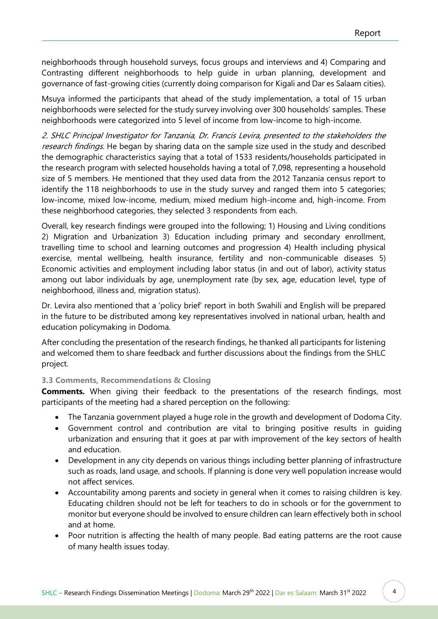neighborhoods through household surveys, focus groups and interviews and 4) Comparing and Contrasting different neighborhoods to help guide in urban planning, development and governance of fast-growing cities (currently doing comparison for Kigali and Dar es Salaam cities).

Msuya informed the participants that ahead of the study implementation, a total of 15 urban neighborhoods were selected for the study survey involving over 300 households' samples. These neighborhoods were categorized into 5 level of income from low-income to high-income.

2. SHLC Principal Investigator for Tanzania, Dr. Francis Levira, presented to the stakeholders the research findings. He began by sharing data on the sample size used in the study and described the demographic characteristics saying that a total of 1533 residents/households participated in the research program with selected households having a total of 7,098, representing a household size of 5 members. He mentioned that they used data from the 2012 Tanzania census report to identify the 118 neighborhoods to use in the study survey and ranged them into 5 categories; low-income, mixed low-income, medium, mixed medium high-income and, high-income. From these neighborhood categories, they selected 3 respondents from each.

Overall, key research findings were grouped into the following; 1) Housing and Living conditions 2) Migration and Urbanization 3) Education including primary and secondary enrollment, travelling time to school and learning outcomes and progression 4) Health including physical exercise, mental wellbeing, health insurance, fertility and non-communicable diseases 5) Economic activities and employment including labor status (in and out of labor), activity status among out labor individuals by age, unemployment rate (by sex, age, education level, type of neighborhood, illness and, migration status).

Dr. Levira also mentioned that a 'policy brief' report in both Swahili and English will be prepared in the future to be distributed among key representatives involved in national urban, health and education policymaking in Dodoma.

After concluding the presentation of the research findings, he thanked all participants for listening and welcomed them to share feedback and further discussions about the findings from the SHLC project.

# <span id="page-5-0"></span>**3.3 Comments, Recommendations & Closing**

**Comments.** When giving their feedback to the presentations of the research findings, most participants of the meeting had a shared perception on the following:

- The Tanzania government played a huge role in the growth and development of Dodoma City.
- Government control and contribution are vital to bringing positive results in guiding urbanization and ensuring that it goes at par with improvement of the key sectors of health and education.
- Development in any city depends on various things including better planning of infrastructure such as roads, land usage, and schools. If planning is done very well population increase would not affect services.
- Accountability among parents and society in general when it comes to raising children is key. Educating children should not be left for teachers to do in schools or for the government to monitor but everyone should be involved to ensure children can learn effectively both in school and at home.
- Poor nutrition is affecting the health of many people. Bad eating patterns are the root cause of many health issues today.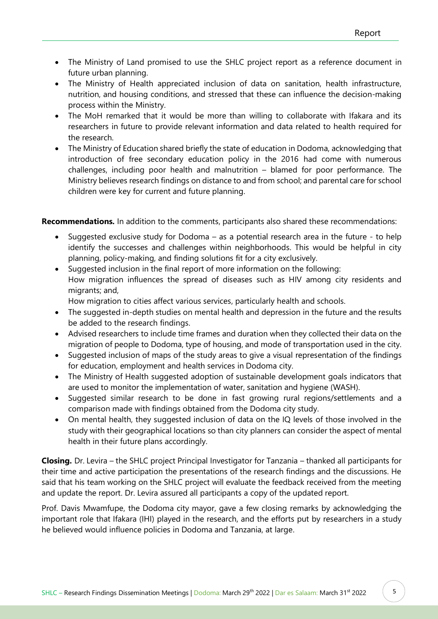- The Ministry of Land promised to use the SHLC project report as a reference document in future urban planning.
- The Ministry of Health appreciated inclusion of data on sanitation, health infrastructure, nutrition, and housing conditions, and stressed that these can influence the decision-making process within the Ministry.
- The MoH remarked that it would be more than willing to collaborate with Ifakara and its researchers in future to provide relevant information and data related to health required for the research.
- The Ministry of Education shared briefly the state of education in Dodoma, acknowledging that introduction of free secondary education policy in the 2016 had come with numerous challenges, including poor health and malnutrition – blamed for poor performance. The Ministry believes research findings on distance to and from school; and parental care for school children were key for current and future planning.

**Recommendations.** In addition to the comments, participants also shared these recommendations:

- Suggested exclusive study for Dodoma as a potential research area in the future to help identify the successes and challenges within neighborhoods. This would be helpful in city planning, policy-making, and finding solutions fit for a city exclusively.
- Suggested inclusion in the final report of more information on the following: How migration influences the spread of diseases such as HIV among city residents and migrants; and,

How migration to cities affect various services, particularly health and schools.

- The suggested in-depth studies on mental health and depression in the future and the results be added to the research findings.
- Advised researchers to include time frames and duration when they collected their data on the migration of people to Dodoma, type of housing, and mode of transportation used in the city.
- Suggested inclusion of maps of the study areas to give a visual representation of the findings for education, employment and health services in Dodoma city.
- The Ministry of Health suggested adoption of sustainable development goals indicators that are used to monitor the implementation of water, sanitation and hygiene (WASH).
- Suggested similar research to be done in fast growing rural regions/settlements and a comparison made with findings obtained from the Dodoma city study.
- On mental health, they suggested inclusion of data on the IQ levels of those involved in the study with their geographical locations so than city planners can consider the aspect of mental health in their future plans accordingly.

**Closing.** Dr. Levira – the SHLC project Principal Investigator for Tanzania – thanked all participants for their time and active participation the presentations of the research findings and the discussions. He said that his team working on the SHLC project will evaluate the feedback received from the meeting and update the report. Dr. Levira assured all participants a copy of the updated report.

Prof. Davis Mwamfupe, the Dodoma city mayor, gave a few closing remarks by acknowledging the important role that Ifakara (IHI) played in the research, and the efforts put by researchers in a study he believed would influence policies in Dodoma and Tanzania, at large.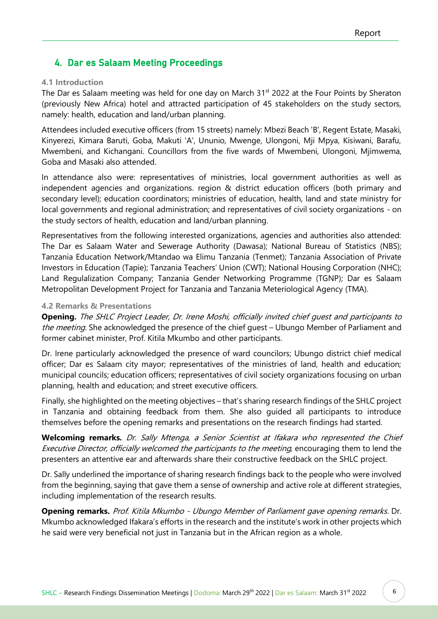# <span id="page-7-0"></span>4. Dar es Salaam Meeting Proceedings

#### <span id="page-7-1"></span>**4.1 Introduction**

The Dar es Salaam meeting was held for one day on March 31<sup>st</sup> 2022 at the Four Points by Sheraton (previously New Africa) hotel and attracted participation of 45 stakeholders on the study sectors, namely: health, education and land/urban planning.

Attendees included executive officers (from 15 streets) namely: Mbezi Beach 'B', Regent Estate, Masaki, Kinyerezi, Kimara Baruti, Goba, Makuti 'A', Ununio, Mwenge, Ulongoni, Mji Mpya, Kisiwani, Barafu, Mwembeni, and Kichangani. Councillors from the five wards of Mwembeni, Ulongoni, Mjimwema, Goba and Masaki also attended.

In attendance also were: representatives of ministries, local government authorities as well as independent agencies and organizations. region & district education officers (both primary and secondary level); education coordinators; ministries of education, health, land and state ministry for local governments and regional administration; and representatives of civil society organizations - on the study sectors of health, education and land/urban planning.

Representatives from the following interested organizations, agencies and authorities also attended: The Dar es Salaam Water and Sewerage Authority (Dawasa); National Bureau of Statistics (NBS); Tanzania Education Network/Mtandao wa Elimu Tanzania (Tenmet); Tanzania Association of Private Investors in Education (Tapie); Tanzania Teachers' Union (CWT); National Housing Corporation (NHC); Land Regulalization Company; Tanzania Gender Networking Programme (TGNP); Dar es Salaam Metropolitan Development Project for Tanzania and Tanzania Meteriological Agency (TMA).

#### <span id="page-7-2"></span>**4.2 Remarks & Presentations**

**Opening.** The SHLC Project Leader, Dr. Irene Moshi, officially invited chief guest and participants to the meeting. She acknowledged the presence of the chief guest – Ubungo Member of Parliament and former cabinet minister, Prof. Kitila Mkumbo and other participants.

Dr. Irene particularly acknowledged the presence of ward councilors; Ubungo district chief medical officer; Dar es Salaam city mayor; representatives of the ministries of land, health and education; municipal councils; education officers; representatives of civil society organizations focusing on urban planning, health and education; and street executive officers.

Finally, she highlighted on the meeting objectives – that's sharing research findings of the SHLC project in Tanzania and obtaining feedback from them. She also guided all participants to introduce themselves before the opening remarks and presentations on the research findings had started.

**Welcoming remarks.** Dr. Sally Mtenga, a Senior Scientist at Ifakara who represented the Chief Executive Director, officially welcomed the participants to the meeting, encouraging them to lend the presenters an attentive ear and afterwards share their constructive feedback on the SHLC project.

Dr. Sally underlined the importance of sharing research findings back to the people who were involved from the beginning, saying that gave them a sense of ownership and active role at different strategies, including implementation of the research results.

**Opening remarks.** Prof. Kitila Mkumbo - Ubungo Member of Parliament gave opening remarks. Dr. Mkumbo acknowledged Ifakara's efforts in the research and the institute's work in other projects which he said were very beneficial not just in Tanzania but in the African region as a whole.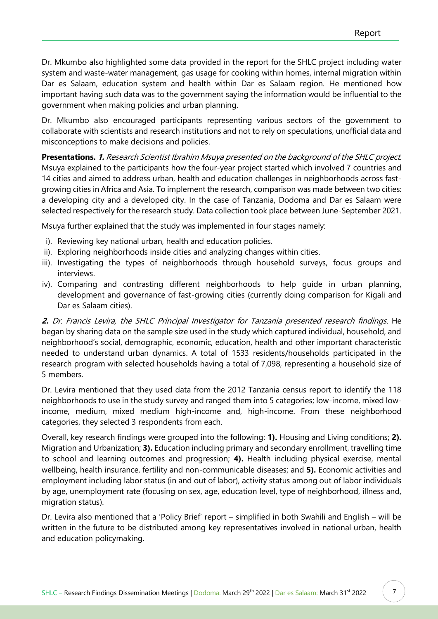Dr. Mkumbo also highlighted some data provided in the report for the SHLC project including water system and waste-water management, gas usage for cooking within homes, internal migration within Dar es Salaam, education system and health within Dar es Salaam region. He mentioned how important having such data was to the government saying the information would be influential to the government when making policies and urban planning.

Dr. Mkumbo also encouraged participants representing various sectors of the government to collaborate with scientists and research institutions and not to rely on speculations, unofficial data and misconceptions to make decisions and policies.

**Presentations. 1.** Research Scientist Ibrahim Msuya presented on the background of the SHLC project. Msuya explained to the participants how the four-year project started which involved 7 countries and 14 cities and aimed to address urban, health and education challenges in neighborhoods across fastgrowing cities in Africa and Asia. To implement the research, comparison was made between two cities: a developing city and a developed city. In the case of Tanzania, Dodoma and Dar es Salaam were selected respectively for the research study. Data collection took place between June-September 2021.

Msuya further explained that the study was implemented in four stages namely:

- i). Reviewing key national urban, health and education policies.
- ii). Exploring neighborhoods inside cities and analyzing changes within cities.
- iii). Investigating the types of neighborhoods through household surveys, focus groups and interviews.
- iv). Comparing and contrasting different neighborhoods to help guide in urban planning, development and governance of fast-growing cities (currently doing comparison for Kigali and Dar es Salaam cities).

**2.** Dr. Francis Levira, the SHLC Principal Investigator for Tanzania presented research findings. He began by sharing data on the sample size used in the study which captured individual, household, and neighborhood's social, demographic, economic, education, health and other important characteristic needed to understand urban dynamics. A total of 1533 residents/households participated in the research program with selected households having a total of 7,098, representing a household size of 5 members.

Dr. Levira mentioned that they used data from the 2012 Tanzania census report to identify the 118 neighborhoods to use in the study survey and ranged them into 5 categories; low-income, mixed lowincome, medium, mixed medium high-income and, high-income. From these neighborhood categories, they selected 3 respondents from each.

Overall, key research findings were grouped into the following: **1).** Housing and Living conditions; **2).** Migration and Urbanization; **3).** Education including primary and secondary enrollment, travelling time to school and learning outcomes and progression; **4).** Health including physical exercise, mental wellbeing, health insurance, fertility and non-communicable diseases; and **5).** Economic activities and employment including labor status (in and out of labor), activity status among out of labor individuals by age, unemployment rate (focusing on sex, age, education level, type of neighborhood, illness and, migration status).

Dr. Levira also mentioned that a 'Policy Brief' report – simplified in both Swahili and English – will be written in the future to be distributed among key representatives involved in national urban, health and education policymaking.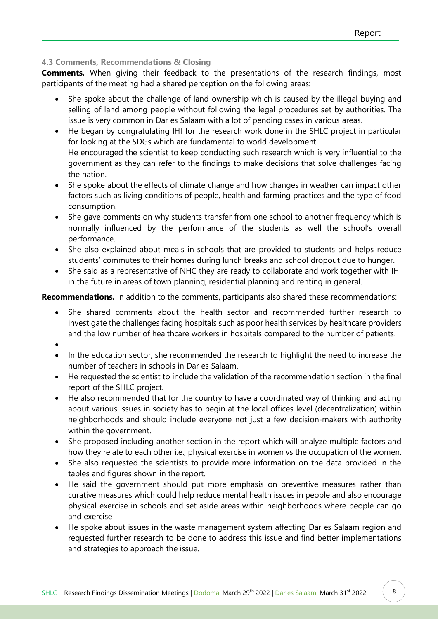# <span id="page-9-0"></span>**4.3 Comments, Recommendations & Closing**

**Comments.** When giving their feedback to the presentations of the research findings, most participants of the meeting had a shared perception on the following areas:

- She spoke about the challenge of land ownership which is caused by the illegal buying and selling of land among people without following the legal procedures set by authorities. The issue is very common in Dar es Salaam with a lot of pending cases in various areas.
- He began by congratulating IHI for the research work done in the SHLC project in particular for looking at the SDGs which are fundamental to world development. He encouraged the scientist to keep conducting such research which is very influential to the government as they can refer to the findings to make decisions that solve challenges facing the nation.
- She spoke about the effects of climate change and how changes in weather can impact other factors such as living conditions of people, health and farming practices and the type of food consumption.
- She gave comments on why students transfer from one school to another frequency which is normally influenced by the performance of the students as well the school's overall performance.
- She also explained about meals in schools that are provided to students and helps reduce students' commutes to their homes during lunch breaks and school dropout due to hunger.
- She said as a representative of NHC they are ready to collaborate and work together with IHI in the future in areas of town planning, residential planning and renting in general.

**Recommendations.** In addition to the comments, participants also shared these recommendations:

- She shared comments about the health sector and recommended further research to investigate the challenges facing hospitals such as poor health services by healthcare providers and the low number of healthcare workers in hospitals compared to the number of patients.
- •
- In the education sector, she recommended the research to highlight the need to increase the number of teachers in schools in Dar es Salaam.
- He requested the scientist to include the validation of the recommendation section in the final report of the SHLC project.
- He also recommended that for the country to have a coordinated way of thinking and acting about various issues in society has to begin at the local offices level (decentralization) within neighborhoods and should include everyone not just a few decision-makers with authority within the government.
- She proposed including another section in the report which will analyze multiple factors and how they relate to each other i.e., physical exercise in women vs the occupation of the women.
- She also requested the scientists to provide more information on the data provided in the tables and figures shown in the report.
- He said the government should put more emphasis on preventive measures rather than curative measures which could help reduce mental health issues in people and also encourage physical exercise in schools and set aside areas within neighborhoods where people can go and exercise
- He spoke about issues in the waste management system affecting Dar es Salaam region and requested further research to be done to address this issue and find better implementations and strategies to approach the issue.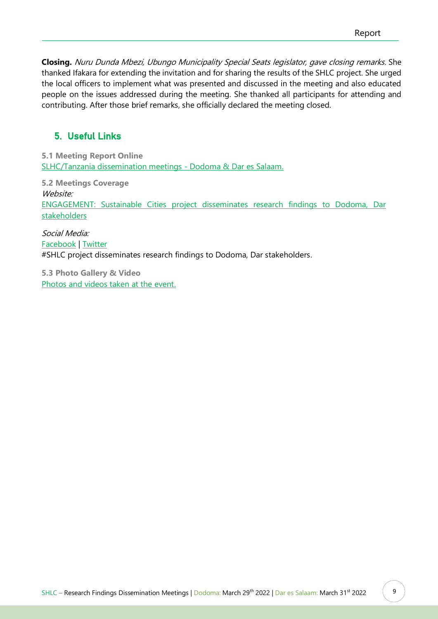**Closing.** Nuru Dunda Mbezi, Ubungo Municipality Special Seats legislator, gave closing remarks. She thanked Ifakara for extending the invitation and for sharing the results of the SHLC project. She urged the local officers to implement what was presented and discussed in the meeting and also educated people on the issues addressed during the meeting. She thanked all participants for attending and contributing. After those brief remarks, she officially declared the meeting closed.

# <span id="page-10-0"></span>5. Useful Links

<span id="page-10-1"></span>**5.1 Meeting Report Online** [SLHC/Tanzania dissemination meetings -](https://ihi.or.tz/web_ihi/media/List_and_report/Report_-_SHLC_Disssemination_Meetings_Dodoma__Dar_es_Salaam_2022.pdf) Dodoma & Dar es Salaam.

<span id="page-10-2"></span>**5.2 Meetings Coverage** Website: [ENGAGEMENT: Sustainable Cities project disseminates research findings to Dodoma, Dar](https://ihi.or.tz/our-events/101/details/)  [stakeholders](https://ihi.or.tz/our-events/101/details/)

Social Media: [Facebook](https://www.facebook.com/Ifakarahealth?_rdc=1&_rdr) | [Twitter](https://twitter.com/ifakarahealth/) #SHLC project disseminates research findings to Dodoma, Dar stakeholders.

<span id="page-10-3"></span>**5.3 Photo Gallery & Video** [Photos and videos taken at the event.](https://ifakarahealthinstitute.smugmug.com/ENGAGEMENT-SHLC-project-disseminates-findings/)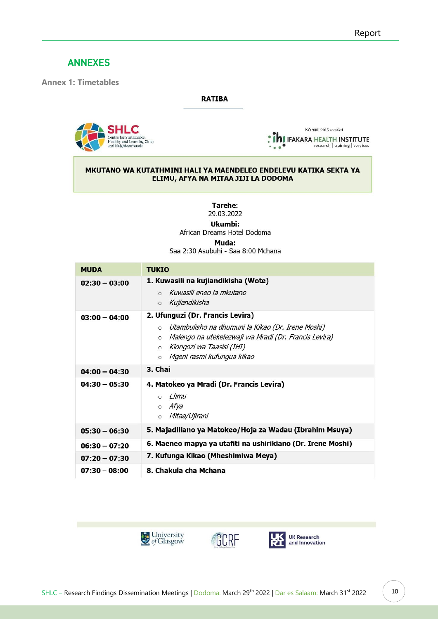# <span id="page-11-0"></span>ANNEXES

<span id="page-11-1"></span>**Annex 1: Timetables**

#### **RATIBA**



ISO 9001:2015 certified **ADJ** IFAKARA HEALTH INSTITUTE

#### MKUTANO WA KUTATHMINI HALI YA MAENDELEO ENDELEVU KATIKA SEKTA YA ELIMU, AFYA NA MITAA JIJI LA DODOMA

**Tarehe:** 29.03.2022

Ukumbi:

African Dreams Hotel Dodoma

Muda:

Saa 2:30 Asubuhi - Saa 8:00 Mchana

| <b>MUDA</b>     | <b>TUKIO</b>                                                                                                                                                                                                                                          |
|-----------------|-------------------------------------------------------------------------------------------------------------------------------------------------------------------------------------------------------------------------------------------------------|
| $02:30 - 03:00$ | 1. Kuwasili na kujiandikisha (Wote)<br>Kuwasili eneo la mkutano<br>$\circ$<br>Kujiandikisha<br>$\circ$                                                                                                                                                |
| $03:00 - 04:00$ | 2. Ufunguzi (Dr. Francis Levira)<br>Utambulisho na dhumuni la Kikao (Dr. Irene Moshi)<br>$\circ$<br>Malengo na utekelezwaji wa Mradi (Dr. Francis Levira)<br>$\circ$<br>Kiongozi wa Taasisi (IHI)<br>$\circ$<br>Mgeni rasmi kufungua kikao<br>$\circ$ |
| $04:00 - 04:30$ | 3. Chai                                                                                                                                                                                                                                               |
| $04:30 - 05:30$ | 4. Matokeo ya Mradi (Dr. Francis Levira)<br>Elimu<br>$\circ$<br>o Afya<br>o <i>Mitaa/Ujirani</i>                                                                                                                                                      |
| $05:30 - 06:30$ | 5. Majadiliano ya Matokeo/Hoja za Wadau (Ibrahim Msuya)                                                                                                                                                                                               |
| $06:30 - 07:20$ | 6. Maeneo mapya ya utafiti na ushirikiano (Dr. Irene Moshi)                                                                                                                                                                                           |
| $07:20 - 07:30$ | 7. Kufunga Kikao (Mheshimiwa Meya)                                                                                                                                                                                                                    |
| $07:30 - 08:00$ | 8. Chakula cha Mchana                                                                                                                                                                                                                                 |





UK Research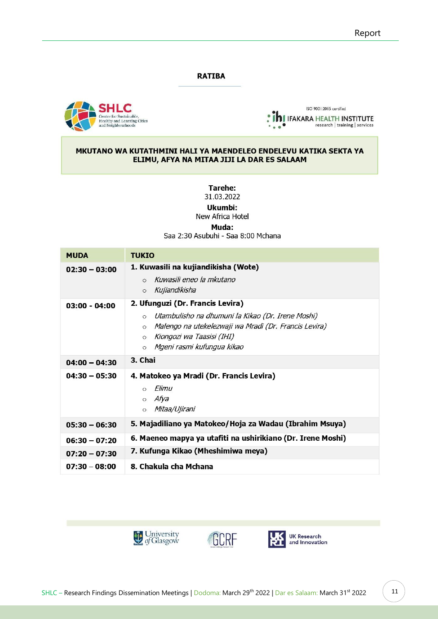#### **RATIBA**





#### MKUTANO WA KUTATHMINI HALI YA MAENDELEO ENDELEVU KATIKA SEKTA YA ELIMU, AFYA NA MITAA JIJI LA DAR ES SALAAM

**Tarehe:** 

31.03.2022

Ukumbi:

New Africa Hotel

Muda:

Saa 2:30 Asubuhi - Saa 8:00 Mchana

| <b>MUDA</b>     | <b>TUKIO</b>                                                                                                                                                                                                                                          |
|-----------------|-------------------------------------------------------------------------------------------------------------------------------------------------------------------------------------------------------------------------------------------------------|
| $02:30 - 03:00$ | 1. Kuwasili na kujiandikisha (Wote)<br>Kuwasili eneo la mkutano<br>$\Omega$<br>Kujiandikisha<br>$\circ$                                                                                                                                               |
| $03:00 - 04:00$ | 2. Ufunguzi (Dr. Francis Levira)<br>Utambulisho na dhumuni la Kikao (Dr. Irene Moshi)<br>$\circ$<br>Malengo na utekelezwaji wa Mradi (Dr. Francis Levira)<br>$\circ$<br>Kiongozi wa Taasisi (IHI)<br>$\circ$<br>Mgeni rasmi kufungua kikao<br>$\circ$ |
| $04:00 - 04:30$ | 3. Chai                                                                                                                                                                                                                                               |
| $04:30 - 05:30$ | 4. Matokeo ya Mradi (Dr. Francis Levira)<br>Elimu<br>$\circ$<br>o Afya<br>Mitaa/Ujirani<br>$\circ$                                                                                                                                                    |
| $05:30 - 06:30$ | 5. Majadiliano ya Matokeo/Hoja za Wadau (Ibrahim Msuya)                                                                                                                                                                                               |
| $06:30 - 07:20$ | 6. Maeneo mapya ya utafiti na ushirikiano (Dr. Irene Moshi)                                                                                                                                                                                           |
| $07:20 - 07:30$ | 7. Kufunga Kikao (Mheshimiwa meya)                                                                                                                                                                                                                    |
| $07:30 - 08:00$ | 8. Chakula cha Mchana                                                                                                                                                                                                                                 |



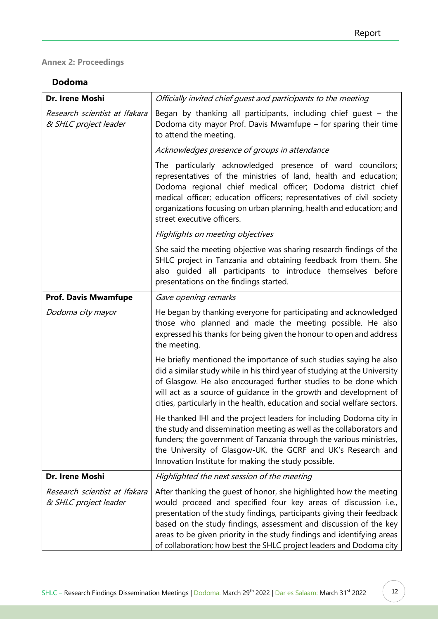# <span id="page-13-0"></span>**Annex 2: Proceedings**

# **Dodoma**

| Dr. Irene Moshi                                        | Officially invited chief quest and participants to the meeting                                                                                                                                                                                                                                                                                                                                                                       |
|--------------------------------------------------------|--------------------------------------------------------------------------------------------------------------------------------------------------------------------------------------------------------------------------------------------------------------------------------------------------------------------------------------------------------------------------------------------------------------------------------------|
| Research scientist at Ifakara<br>& SHLC project leader | Began by thanking all participants, including chief quest $-$ the<br>Dodoma city mayor Prof. Davis Mwamfupe - for sparing their time<br>to attend the meeting.                                                                                                                                                                                                                                                                       |
|                                                        | Acknowledges presence of groups in attendance                                                                                                                                                                                                                                                                                                                                                                                        |
|                                                        | The particularly acknowledged presence of ward councilors;<br>representatives of the ministries of land, health and education;<br>Dodoma regional chief medical officer; Dodoma district chief<br>medical officer; education officers; representatives of civil society<br>organizations focusing on urban planning, health and education; and<br>street executive officers.                                                         |
|                                                        | Highlights on meeting objectives                                                                                                                                                                                                                                                                                                                                                                                                     |
|                                                        | She said the meeting objective was sharing research findings of the<br>SHLC project in Tanzania and obtaining feedback from them. She<br>also quided all participants to introduce themselves before<br>presentations on the findings started.                                                                                                                                                                                       |
| <b>Prof. Davis Mwamfupe</b>                            | Gave opening remarks                                                                                                                                                                                                                                                                                                                                                                                                                 |
| Dodoma city mayor                                      | He began by thanking everyone for participating and acknowledged<br>those who planned and made the meeting possible. He also<br>expressed his thanks for being given the honour to open and address<br>the meeting.                                                                                                                                                                                                                  |
|                                                        | He briefly mentioned the importance of such studies saying he also<br>did a similar study while in his third year of studying at the University<br>of Glasgow. He also encouraged further studies to be done which<br>will act as a source of guidance in the growth and development of<br>cities, particularly in the health, education and social welfare sectors.                                                                 |
|                                                        | He thanked IHI and the project leaders for including Dodoma city in<br>the study and dissemination meeting as well as the collaborators and<br>funders; the government of Tanzania through the various ministries,<br>the University of Glasgow-UK, the GCRF and UK's Research and<br>Innovation Institute for making the study possible.                                                                                            |
| Dr. Irene Moshi                                        | Highlighted the next session of the meeting                                                                                                                                                                                                                                                                                                                                                                                          |
| Research scientist at Ifakara<br>& SHLC project leader | After thanking the guest of honor, she highlighted how the meeting<br>would proceed and specified four key areas of discussion i.e.,<br>presentation of the study findings, participants giving their feedback<br>based on the study findings, assessment and discussion of the key<br>areas to be given priority in the study findings and identifying areas<br>of collaboration; how best the SHLC project leaders and Dodoma city |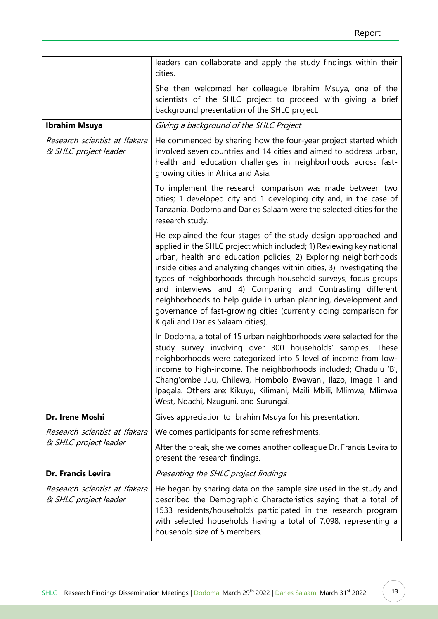|                                                        | leaders can collaborate and apply the study findings within their<br>cities.                                                                                                                                                                                                                                                                                                                                                                                                                                                                                                                       |
|--------------------------------------------------------|----------------------------------------------------------------------------------------------------------------------------------------------------------------------------------------------------------------------------------------------------------------------------------------------------------------------------------------------------------------------------------------------------------------------------------------------------------------------------------------------------------------------------------------------------------------------------------------------------|
|                                                        | She then welcomed her colleague Ibrahim Msuya, one of the<br>scientists of the SHLC project to proceed with giving a brief<br>background presentation of the SHLC project.                                                                                                                                                                                                                                                                                                                                                                                                                         |
| <b>Ibrahim Msuya</b>                                   | Giving a background of the SHLC Project                                                                                                                                                                                                                                                                                                                                                                                                                                                                                                                                                            |
| Research scientist at Ifakara<br>& SHLC project leader | He commenced by sharing how the four-year project started which<br>involved seven countries and 14 cities and aimed to address urban,<br>health and education challenges in neighborhoods across fast-<br>growing cities in Africa and Asia.                                                                                                                                                                                                                                                                                                                                                       |
|                                                        | To implement the research comparison was made between two<br>cities; 1 developed city and 1 developing city and, in the case of<br>Tanzania, Dodoma and Dar es Salaam were the selected cities for the<br>research study.                                                                                                                                                                                                                                                                                                                                                                          |
|                                                        | He explained the four stages of the study design approached and<br>applied in the SHLC project which included; 1) Reviewing key national<br>urban, health and education policies, 2) Exploring neighborhoods<br>inside cities and analyzing changes within cities, 3) Investigating the<br>types of neighborhoods through household surveys, focus groups<br>and interviews and 4) Comparing and Contrasting different<br>neighborhoods to help guide in urban planning, development and<br>governance of fast-growing cities (currently doing comparison for<br>Kigali and Dar es Salaam cities). |
|                                                        | In Dodoma, a total of 15 urban neighborhoods were selected for the<br>study survey involving over 300 households' samples. These<br>neighborhoods were categorized into 5 level of income from low-<br>income to high-income. The neighborhoods included; Chadulu 'B',<br>Chang'ombe Juu, Chilewa, Hombolo Bwawani, Ilazo, Image 1 and<br>Ipagala. Others are: Kikuyu, Kilimani, Maili Mbili, Mlimwa, Mlimwa<br>West, Ndachi, Nzuguni, and Surungai.                                                                                                                                               |
| Dr. Irene Moshi                                        | Gives appreciation to Ibrahim Msuya for his presentation.                                                                                                                                                                                                                                                                                                                                                                                                                                                                                                                                          |
| Research scientist at Ifakara                          | Welcomes participants for some refreshments.                                                                                                                                                                                                                                                                                                                                                                                                                                                                                                                                                       |
| & SHLC project leader                                  | After the break, she welcomes another colleague Dr. Francis Levira to<br>present the research findings.                                                                                                                                                                                                                                                                                                                                                                                                                                                                                            |
| <b>Dr. Francis Levira</b>                              | Presenting the SHLC project findings                                                                                                                                                                                                                                                                                                                                                                                                                                                                                                                                                               |
| Research scientist at Ifakara<br>& SHLC project leader | He began by sharing data on the sample size used in the study and<br>described the Demographic Characteristics saying that a total of<br>1533 residents/households participated in the research program<br>with selected households having a total of 7,098, representing a<br>household size of 5 members.                                                                                                                                                                                                                                                                                        |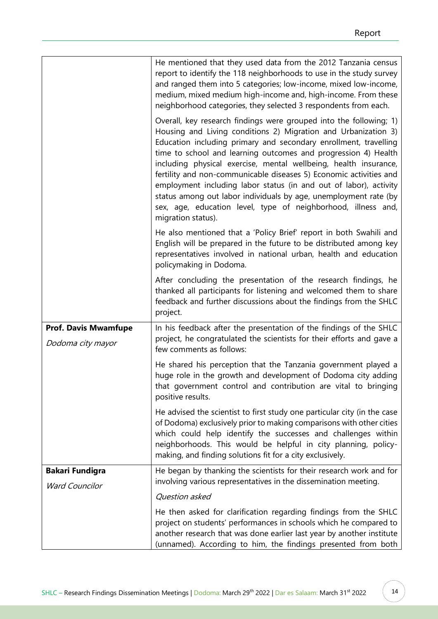|                                                  | He mentioned that they used data from the 2012 Tanzania census<br>report to identify the 118 neighborhoods to use in the study survey<br>and ranged them into 5 categories; low-income, mixed low-income,<br>medium, mixed medium high-income and, high-income. From these<br>neighborhood categories, they selected 3 respondents from each.                                                                                                                                                                                                                                                                                                        |
|--------------------------------------------------|------------------------------------------------------------------------------------------------------------------------------------------------------------------------------------------------------------------------------------------------------------------------------------------------------------------------------------------------------------------------------------------------------------------------------------------------------------------------------------------------------------------------------------------------------------------------------------------------------------------------------------------------------|
|                                                  | Overall, key research findings were grouped into the following; 1)<br>Housing and Living conditions 2) Migration and Urbanization 3)<br>Education including primary and secondary enrollment, travelling<br>time to school and learning outcomes and progression 4) Health<br>including physical exercise, mental wellbeing, health insurance,<br>fertility and non-communicable diseases 5) Economic activities and<br>employment including labor status (in and out of labor), activity<br>status among out labor individuals by age, unemployment rate (by<br>sex, age, education level, type of neighborhood, illness and,<br>migration status). |
|                                                  | He also mentioned that a 'Policy Brief' report in both Swahili and<br>English will be prepared in the future to be distributed among key<br>representatives involved in national urban, health and education<br>policymaking in Dodoma.                                                                                                                                                                                                                                                                                                                                                                                                              |
|                                                  | After concluding the presentation of the research findings, he<br>thanked all participants for listening and welcomed them to share<br>feedback and further discussions about the findings from the SHLC<br>project.                                                                                                                                                                                                                                                                                                                                                                                                                                 |
| <b>Prof. Davis Mwamfupe</b><br>Dodoma city mayor | In his feedback after the presentation of the findings of the SHLC<br>project, he congratulated the scientists for their efforts and gave a<br>few comments as follows:                                                                                                                                                                                                                                                                                                                                                                                                                                                                              |
|                                                  | He shared his perception that the Tanzania government played a<br>huge role in the growth and development of Dodoma city adding<br>that government control and contribution are vital to bringing<br>positive results.                                                                                                                                                                                                                                                                                                                                                                                                                               |
|                                                  | He advised the scientist to first study one particular city (in the case<br>of Dodoma) exclusively prior to making comparisons with other cities<br>which could help identify the successes and challenges within<br>neighborhoods. This would be helpful in city planning, policy-<br>making, and finding solutions fit for a city exclusively.                                                                                                                                                                                                                                                                                                     |
| <b>Bakari Fundigra</b>                           | He began by thanking the scientists for their research work and for                                                                                                                                                                                                                                                                                                                                                                                                                                                                                                                                                                                  |
| <b>Ward Councilor</b>                            | involving various representatives in the dissemination meeting.<br>Question asked                                                                                                                                                                                                                                                                                                                                                                                                                                                                                                                                                                    |
|                                                  | He then asked for clarification regarding findings from the SHLC                                                                                                                                                                                                                                                                                                                                                                                                                                                                                                                                                                                     |
|                                                  | project on students' performances in schools which he compared to<br>another research that was done earlier last year by another institute<br>(unnamed). According to him, the findings presented from both                                                                                                                                                                                                                                                                                                                                                                                                                                          |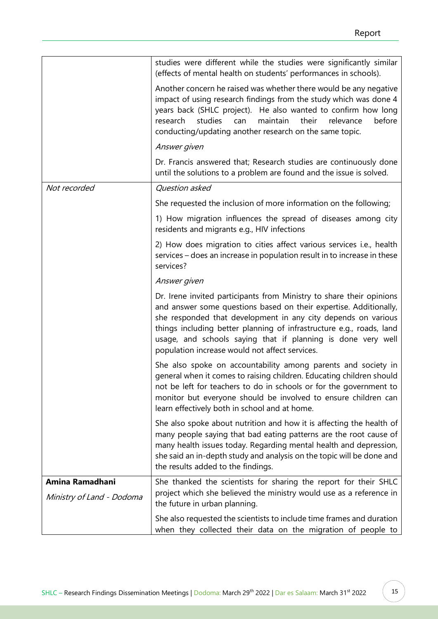|                           | studies were different while the studies were significantly similar<br>(effects of mental health on students' performances in schools).<br>Another concern he raised was whether there would be any negative<br>impact of using research findings from the study which was done 4<br>years back (SHLC project). He also wanted to confirm how long<br>research<br>studies<br>before<br>maintain<br>their<br>relevance<br>can<br>conducting/updating another research on the same topic. |
|---------------------------|-----------------------------------------------------------------------------------------------------------------------------------------------------------------------------------------------------------------------------------------------------------------------------------------------------------------------------------------------------------------------------------------------------------------------------------------------------------------------------------------|
|                           | Answer given                                                                                                                                                                                                                                                                                                                                                                                                                                                                            |
|                           | Dr. Francis answered that; Research studies are continuously done<br>until the solutions to a problem are found and the issue is solved.                                                                                                                                                                                                                                                                                                                                                |
| Not recorded              | Question asked                                                                                                                                                                                                                                                                                                                                                                                                                                                                          |
|                           | She requested the inclusion of more information on the following;                                                                                                                                                                                                                                                                                                                                                                                                                       |
|                           | 1) How migration influences the spread of diseases among city<br>residents and migrants e.g., HIV infections                                                                                                                                                                                                                                                                                                                                                                            |
|                           | 2) How does migration to cities affect various services i.e., health<br>services – does an increase in population result in to increase in these<br>services?                                                                                                                                                                                                                                                                                                                           |
|                           | Answer given                                                                                                                                                                                                                                                                                                                                                                                                                                                                            |
|                           | Dr. Irene invited participants from Ministry to share their opinions<br>and answer some questions based on their expertise. Additionally,<br>she responded that development in any city depends on various<br>things including better planning of infrastructure e.g., roads, land<br>usage, and schools saying that if planning is done very well<br>population increase would not affect services.                                                                                    |
|                           | She also spoke on accountability among parents and society in<br>general when it comes to raising children. Educating children should<br>not be left for teachers to do in schools or for the government to<br>monitor but everyone should be involved to ensure children can<br>learn effectively both in school and at home.                                                                                                                                                          |
|                           | She also spoke about nutrition and how it is affecting the health of<br>many people saying that bad eating patterns are the root cause of<br>many health issues today. Regarding mental health and depression,<br>she said an in-depth study and analysis on the topic will be done and<br>the results added to the findings.                                                                                                                                                           |
| Amina Ramadhani           | She thanked the scientists for sharing the report for their SHLC                                                                                                                                                                                                                                                                                                                                                                                                                        |
| Ministry of Land - Dodoma | project which she believed the ministry would use as a reference in<br>the future in urban planning.                                                                                                                                                                                                                                                                                                                                                                                    |
|                           | She also requested the scientists to include time frames and duration<br>when they collected their data on the migration of people to                                                                                                                                                                                                                                                                                                                                                   |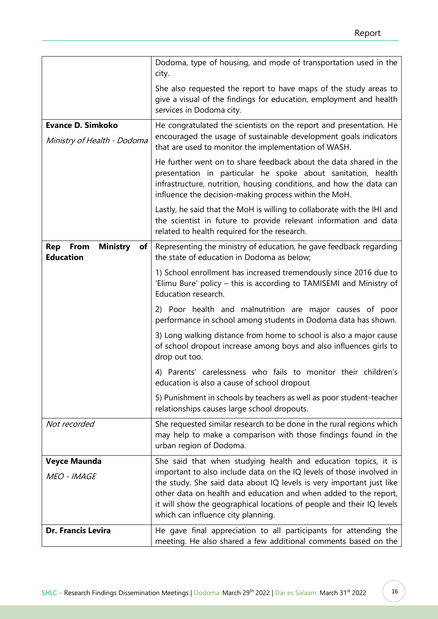|                                                                       | Dodoma, type of housing, and mode of transportation used in the<br>city.                                                                                                                                                                                          |
|-----------------------------------------------------------------------|-------------------------------------------------------------------------------------------------------------------------------------------------------------------------------------------------------------------------------------------------------------------|
|                                                                       | She also requested the report to have maps of the study areas to<br>give a visual of the findings for education, employment and health<br>services in Dodoma city.                                                                                                |
| <b>Evance D. Simkoko</b><br>Ministry of Health - Dodoma               | He congratulated the scientists on the report and presentation. He<br>encouraged the usage of sustainable development goals indicators<br>that are used to monitor the implementation of WASH.                                                                    |
|                                                                       | He further went on to share feedback about the data shared in the<br>presentation in particular he spoke about sanitation, health<br>infrastructure, nutrition, housing conditions, and how the data can<br>influence the decision-making process within the MoH. |
|                                                                       | Lastly, he said that the MoH is willing to collaborate with the IHI and<br>the scientist in future to provide relevant information and data<br>related to health required for the research.                                                                       |
| <b>Ministry</b><br>Rep<br>From<br>of <sub>l</sub><br><b>Education</b> | Representing the ministry of education, he gave feedback regarding<br>the state of education in Dodoma as below;                                                                                                                                                  |
|                                                                       | 1) School enrollment has increased tremendously since 2016 due to<br>'Elimu Bure' policy - this is according to TAMISEMI and Ministry of<br>Education research.                                                                                                   |
|                                                                       | 2) Poor health and malnutrition are major causes of poor<br>performance in school among students in Dodoma data has shown.                                                                                                                                        |
|                                                                       | 3) Long walking distance from home to school is also a major cause<br>of school dropout increase among boys and also influences girls to<br>drop out too.                                                                                                         |
|                                                                       | 4) Parents' carelessness who fails to monitor their children's<br>education is also a cause of school dropout                                                                                                                                                     |
|                                                                       | 5) Punishment in schools by teachers as well as poor student-teacher<br>relationships causes large school dropouts.                                                                                                                                               |
| Not recorded                                                          | She requested similar research to be done in the rural regions which<br>may help to make a comparison with those findings found in the<br>urban region of Dodoma.                                                                                                 |
| <b>Veyce Maunda</b>                                                   | She said that when studying health and education topics, it is                                                                                                                                                                                                    |
| MEO - IMAGE                                                           | important to also include data on the IQ levels of those involved in<br>the study. She said data about IQ levels is very important just like                                                                                                                      |
|                                                                       | other data on health and education and when added to the report,<br>it will show the geographical locations of people and their IQ levels<br>which can influence city planning.                                                                                   |
| Dr. Francis Levira                                                    | He gave final appreciation to all participants for attending the<br>meeting. He also shared a few additional comments based on the                                                                                                                                |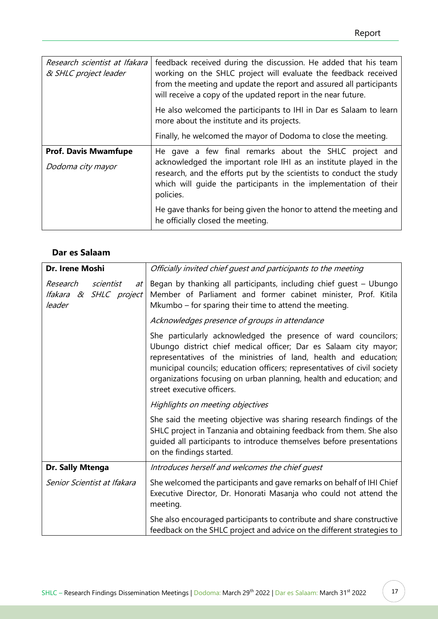| Research scientist at Ifakara<br>& SHLC project leader | feedback received during the discussion. He added that his team<br>working on the SHLC project will evaluate the feedback received<br>from the meeting and update the report and assured all participants<br>will receive a copy of the updated report in the near future. |
|--------------------------------------------------------|----------------------------------------------------------------------------------------------------------------------------------------------------------------------------------------------------------------------------------------------------------------------------|
|                                                        | He also welcomed the participants to IHI in Dar es Salaam to learn<br>more about the institute and its projects.                                                                                                                                                           |
|                                                        | Finally, he welcomed the mayor of Dodoma to close the meeting.                                                                                                                                                                                                             |
| <b>Prof. Davis Mwamfupe</b>                            | He gave a few final remarks about the SHLC project and                                                                                                                                                                                                                     |
| Dodoma city mayor                                      | acknowledged the important role IHI as an institute played in the<br>research, and the efforts put by the scientists to conduct the study<br>which will quide the participants in the implementation of their<br>policies.                                                 |
|                                                        | He gave thanks for being given the honor to attend the meeting and<br>he officially closed the meeting.                                                                                                                                                                    |

# **Dar es Salaam**

| Dr. Irene Moshi                                                   | Officially invited chief guest and participants to the meeting                                                                                                                                                                                                                                                                                                                          |
|-------------------------------------------------------------------|-----------------------------------------------------------------------------------------------------------------------------------------------------------------------------------------------------------------------------------------------------------------------------------------------------------------------------------------------------------------------------------------|
| scientist<br>Research<br>at I<br>Ifakara & SHLC project<br>leader | Began by thanking all participants, including chief guest - Ubungo<br>Member of Parliament and former cabinet minister, Prof. Kitila<br>Mkumbo – for sparing their time to attend the meeting.                                                                                                                                                                                          |
|                                                                   | Acknowledges presence of groups in attendance                                                                                                                                                                                                                                                                                                                                           |
|                                                                   | She particularly acknowledged the presence of ward councilors;<br>Ubungo district chief medical officer; Dar es Salaam city mayor;<br>representatives of the ministries of land, health and education;<br>municipal councils; education officers; representatives of civil society<br>organizations focusing on urban planning, health and education; and<br>street executive officers. |
|                                                                   | Highlights on meeting objectives                                                                                                                                                                                                                                                                                                                                                        |
|                                                                   | She said the meeting objective was sharing research findings of the<br>SHLC project in Tanzania and obtaining feedback from them. She also<br>guided all participants to introduce themselves before presentations<br>on the findings started.                                                                                                                                          |
| Dr. Sally Mtenga                                                  | Introduces herself and welcomes the chief guest                                                                                                                                                                                                                                                                                                                                         |
| Senior Scientist at Ifakara                                       | She welcomed the participants and gave remarks on behalf of IHI Chief<br>Executive Director, Dr. Honorati Masanja who could not attend the<br>meeting.                                                                                                                                                                                                                                  |
|                                                                   | She also encouraged participants to contribute and share constructive<br>feedback on the SHLC project and advice on the different strategies to                                                                                                                                                                                                                                         |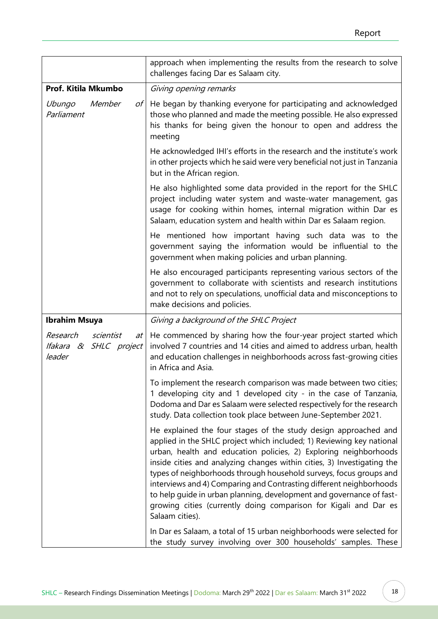|                                                                         | approach when implementing the results from the research to solve<br>challenges facing Dar es Salaam city.                                                                                                                                                                                                                                                                                                                                                                                                                                                                                          |
|-------------------------------------------------------------------------|-----------------------------------------------------------------------------------------------------------------------------------------------------------------------------------------------------------------------------------------------------------------------------------------------------------------------------------------------------------------------------------------------------------------------------------------------------------------------------------------------------------------------------------------------------------------------------------------------------|
| Prof. Kitila Mkumbo                                                     | Giving opening remarks                                                                                                                                                                                                                                                                                                                                                                                                                                                                                                                                                                              |
| Member<br>Ubungo<br>$\sigma f$<br>Parliament                            | He began by thanking everyone for participating and acknowledged<br>those who planned and made the meeting possible. He also expressed<br>his thanks for being given the honour to open and address the<br>meeting                                                                                                                                                                                                                                                                                                                                                                                  |
|                                                                         | He acknowledged IHI's efforts in the research and the institute's work<br>in other projects which he said were very beneficial not just in Tanzania<br>but in the African region.                                                                                                                                                                                                                                                                                                                                                                                                                   |
|                                                                         | He also highlighted some data provided in the report for the SHLC<br>project including water system and waste-water management, gas<br>usage for cooking within homes, internal migration within Dar es<br>Salaam, education system and health within Dar es Salaam region.                                                                                                                                                                                                                                                                                                                         |
|                                                                         | He mentioned how important having such data was to the<br>government saying the information would be influential to the<br>government when making policies and urban planning.                                                                                                                                                                                                                                                                                                                                                                                                                      |
|                                                                         | He also encouraged participants representing various sectors of the<br>government to collaborate with scientists and research institutions<br>and not to rely on speculations, unofficial data and misconceptions to<br>make decisions and policies.                                                                                                                                                                                                                                                                                                                                                |
| <b>Ibrahim Msuya</b>                                                    | Giving a background of the SHLC Project                                                                                                                                                                                                                                                                                                                                                                                                                                                                                                                                                             |
| Research<br>scientist<br>$at \perp$<br>Ifakara & SHLC project<br>leader | He commenced by sharing how the four-year project started which<br>involved 7 countries and 14 cities and aimed to address urban, health<br>and education challenges in neighborhoods across fast-growing cities<br>in Africa and Asia.                                                                                                                                                                                                                                                                                                                                                             |
|                                                                         | To implement the research comparison was made between two cities;<br>1 developing city and 1 developed city - in the case of Tanzania,<br>Dodoma and Dar es Salaam were selected respectively for the research<br>study. Data collection took place between June-September 2021.                                                                                                                                                                                                                                                                                                                    |
|                                                                         | He explained the four stages of the study design approached and<br>applied in the SHLC project which included; 1) Reviewing key national<br>urban, health and education policies, 2) Exploring neighborhoods<br>inside cities and analyzing changes within cities, 3) Investigating the<br>types of neighborhoods through household surveys, focus groups and<br>interviews and 4) Comparing and Contrasting different neighborhoods<br>to help guide in urban planning, development and governance of fast-<br>growing cities (currently doing comparison for Kigali and Dar es<br>Salaam cities). |
|                                                                         | In Dar es Salaam, a total of 15 urban neighborhoods were selected for<br>the study survey involving over 300 households' samples. These                                                                                                                                                                                                                                                                                                                                                                                                                                                             |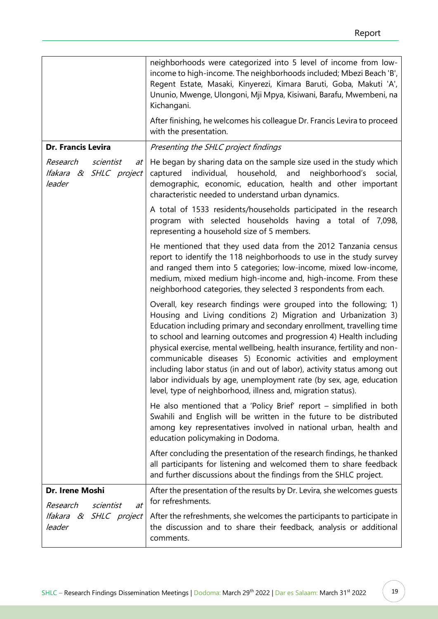|                                                                 | neighborhoods were categorized into 5 level of income from low-<br>income to high-income. The neighborhoods included; Mbezi Beach 'B',<br>Regent Estate, Masaki, Kinyerezi, Kimara Baruti, Goba, Makuti 'A',<br>Ununio, Mwenge, Ulongoni, Mji Mpya, Kisiwani, Barafu, Mwembeni, na<br>Kichangani.                                                                                                                                                                                                                                                                                                                                                  |
|-----------------------------------------------------------------|----------------------------------------------------------------------------------------------------------------------------------------------------------------------------------------------------------------------------------------------------------------------------------------------------------------------------------------------------------------------------------------------------------------------------------------------------------------------------------------------------------------------------------------------------------------------------------------------------------------------------------------------------|
|                                                                 | After finishing, he welcomes his colleague Dr. Francis Levira to proceed<br>with the presentation.                                                                                                                                                                                                                                                                                                                                                                                                                                                                                                                                                 |
| Dr. Francis Levira                                              | Presenting the SHLC project findings                                                                                                                                                                                                                                                                                                                                                                                                                                                                                                                                                                                                               |
| scientist<br>Research<br>at<br>Ifakara & SHLC project<br>leader | He began by sharing data on the sample size used in the study which<br>captured individual, household, and<br>neighborhood's<br>social,<br>demographic, economic, education, health and other important<br>characteristic needed to understand urban dynamics.                                                                                                                                                                                                                                                                                                                                                                                     |
|                                                                 | A total of 1533 residents/households participated in the research<br>program with selected households having a total of 7,098,<br>representing a household size of 5 members.                                                                                                                                                                                                                                                                                                                                                                                                                                                                      |
|                                                                 | He mentioned that they used data from the 2012 Tanzania census<br>report to identify the 118 neighborhoods to use in the study survey<br>and ranged them into 5 categories; low-income, mixed low-income,<br>medium, mixed medium high-income and, high-income. From these<br>neighborhood categories, they selected 3 respondents from each.                                                                                                                                                                                                                                                                                                      |
|                                                                 | Overall, key research findings were grouped into the following; 1)<br>Housing and Living conditions 2) Migration and Urbanization 3)<br>Education including primary and secondary enrollment, travelling time<br>to school and learning outcomes and progression 4) Health including<br>physical exercise, mental wellbeing, health insurance, fertility and non-<br>communicable diseases 5) Economic activities and employment<br>including labor status (in and out of labor), activity status among out<br>labor individuals by age, unemployment rate (by sex, age, education<br>level, type of neighborhood, illness and, migration status). |
|                                                                 | He also mentioned that a 'Policy Brief' report $-$ simplified in both<br>Swahili and English will be written in the future to be distributed<br>among key representatives involved in national urban, health and<br>education policymaking in Dodoma.                                                                                                                                                                                                                                                                                                                                                                                              |
|                                                                 | After concluding the presentation of the research findings, he thanked<br>all participants for listening and welcomed them to share feedback<br>and further discussions about the findings from the SHLC project.                                                                                                                                                                                                                                                                                                                                                                                                                                  |
| Dr. Irene Moshi<br>Research<br>scientist<br>$a$ t               | After the presentation of the results by Dr. Levira, she welcomes guests<br>for refreshments.                                                                                                                                                                                                                                                                                                                                                                                                                                                                                                                                                      |
| Ifakara & SHLC project<br>leader                                | After the refreshments, she welcomes the participants to participate in<br>the discussion and to share their feedback, analysis or additional<br>comments.                                                                                                                                                                                                                                                                                                                                                                                                                                                                                         |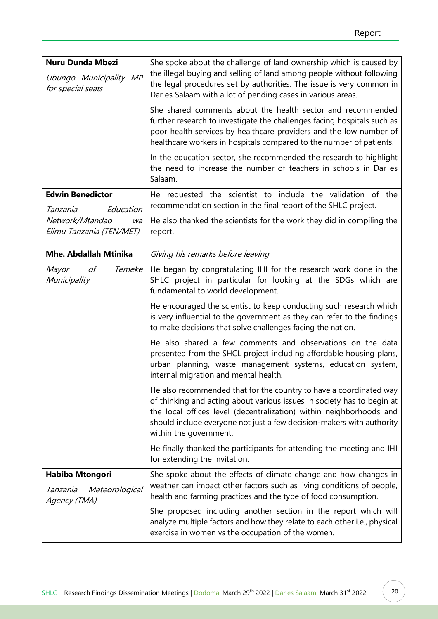| Nuru Dunda Mbezi<br>Ubungo Municipality MP<br>for special seats | She spoke about the challenge of land ownership which is caused by<br>the illegal buying and selling of land among people without following<br>the legal procedures set by authorities. The issue is very common in<br>Dar es Salaam with a lot of pending cases in various areas.<br>She shared comments about the health sector and recommended<br>further research to investigate the challenges facing hospitals such as<br>poor health services by healthcare providers and the low number of<br>healthcare workers in hospitals compared to the number of patients.<br>In the education sector, she recommended the research to highlight<br>the need to increase the number of teachers in schools in Dar es<br>Salaam. |
|-----------------------------------------------------------------|--------------------------------------------------------------------------------------------------------------------------------------------------------------------------------------------------------------------------------------------------------------------------------------------------------------------------------------------------------------------------------------------------------------------------------------------------------------------------------------------------------------------------------------------------------------------------------------------------------------------------------------------------------------------------------------------------------------------------------|
| <b>Edwin Benedictor</b><br>Education<br>Tanzania                | He requested the scientist to include the validation of the<br>recommendation section in the final report of the SHLC project.                                                                                                                                                                                                                                                                                                                                                                                                                                                                                                                                                                                                 |
| Network/Mtandao<br>wa<br>Elimu Tanzania (TEN/MET)               | He also thanked the scientists for the work they did in compiling the<br>report.                                                                                                                                                                                                                                                                                                                                                                                                                                                                                                                                                                                                                                               |
| <b>Mhe. Abdallah Mtinika</b>                                    | Giving his remarks before leaving                                                                                                                                                                                                                                                                                                                                                                                                                                                                                                                                                                                                                                                                                              |
| Temeke<br>Mayor<br>οf<br>Municipality                           | He began by congratulating IHI for the research work done in the<br>SHLC project in particular for looking at the SDGs which are<br>fundamental to world development.                                                                                                                                                                                                                                                                                                                                                                                                                                                                                                                                                          |
|                                                                 | He encouraged the scientist to keep conducting such research which<br>is very influential to the government as they can refer to the findings<br>to make decisions that solve challenges facing the nation.                                                                                                                                                                                                                                                                                                                                                                                                                                                                                                                    |
|                                                                 | He also shared a few comments and observations on the data<br>presented from the SHCL project including affordable housing plans,<br>urban planning, waste management systems, education system,<br>internal migration and mental health.                                                                                                                                                                                                                                                                                                                                                                                                                                                                                      |
|                                                                 | He also recommended that for the country to have a coordinated way<br>of thinking and acting about various issues in society has to begin at<br>the local offices level (decentralization) within neighborhoods and<br>should include everyone not just a few decision-makers with authority<br>within the government.                                                                                                                                                                                                                                                                                                                                                                                                         |
|                                                                 | He finally thanked the participants for attending the meeting and IHI<br>for extending the invitation.                                                                                                                                                                                                                                                                                                                                                                                                                                                                                                                                                                                                                         |
| Habiba Mtongori<br>Meteorological<br>Tanzania<br>Agency (TMA)   | She spoke about the effects of climate change and how changes in<br>weather can impact other factors such as living conditions of people,<br>health and farming practices and the type of food consumption.                                                                                                                                                                                                                                                                                                                                                                                                                                                                                                                    |
|                                                                 | She proposed including another section in the report which will<br>analyze multiple factors and how they relate to each other i.e., physical<br>exercise in women vs the occupation of the women.                                                                                                                                                                                                                                                                                                                                                                                                                                                                                                                              |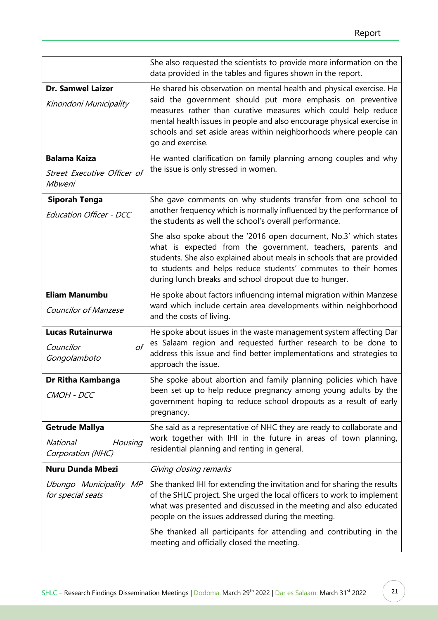|                                                                          | She also requested the scientists to provide more information on the<br>data provided in the tables and figures shown in the report.                                                                                                                                                                                                                                    |
|--------------------------------------------------------------------------|-------------------------------------------------------------------------------------------------------------------------------------------------------------------------------------------------------------------------------------------------------------------------------------------------------------------------------------------------------------------------|
| <b>Dr. Samwel Laizer</b><br>Kinondoni Municipality                       | He shared his observation on mental health and physical exercise. He<br>said the government should put more emphasis on preventive<br>measures rather than curative measures which could help reduce<br>mental health issues in people and also encourage physical exercise in<br>schools and set aside areas within neighborhoods where people can<br>go and exercise. |
| <b>Balama Kaiza</b><br>Street Executive Officer of<br>Mbweni             | He wanted clarification on family planning among couples and why<br>the issue is only stressed in women.                                                                                                                                                                                                                                                                |
| Siporah Tenga<br><b>Education Officer - DCC</b>                          | She gave comments on why students transfer from one school to<br>another frequency which is normally influenced by the performance of<br>the students as well the school's overall performance.                                                                                                                                                                         |
|                                                                          | She also spoke about the '2016 open document, No.3' which states<br>what is expected from the government, teachers, parents and<br>students. She also explained about meals in schools that are provided<br>to students and helps reduce students' commutes to their homes<br>during lunch breaks and school dropout due to hunger.                                     |
| <b>Eliam Manumbu</b><br><b>Councilor of Manzese</b>                      | He spoke about factors influencing internal migration within Manzese<br>ward which include certain area developments within neighborhood<br>and the costs of living.                                                                                                                                                                                                    |
| <b>Lucas Rutainurwa</b><br>οf<br>Councilor<br>Gongolamboto               | He spoke about issues in the waste management system affecting Dar<br>es Salaam region and requested further research to be done to<br>address this issue and find better implementations and strategies to<br>approach the issue.                                                                                                                                      |
| Dr Ritha Kambanga<br>CMOH - DCC                                          | She spoke about abortion and family planning policies which have<br>been set up to help reduce pregnancy among young adults by the<br>government hoping to reduce school dropouts as a result of early<br>pregnancy.                                                                                                                                                    |
| <b>Getrude Mallya</b><br><b>National</b><br>Housing<br>Corporation (NHC) | She said as a representative of NHC they are ready to collaborate and<br>work together with IHI in the future in areas of town planning,<br>residential planning and renting in general.                                                                                                                                                                                |
| <b>Nuru Dunda Mbezi</b>                                                  | Giving closing remarks                                                                                                                                                                                                                                                                                                                                                  |
| Ubungo Municipality MP<br>for special seats                              | She thanked IHI for extending the invitation and for sharing the results<br>of the SHLC project. She urged the local officers to work to implement<br>what was presented and discussed in the meeting and also educated<br>people on the issues addressed during the meeting.                                                                                           |
|                                                                          | She thanked all participants for attending and contributing in the<br>meeting and officially closed the meeting.                                                                                                                                                                                                                                                        |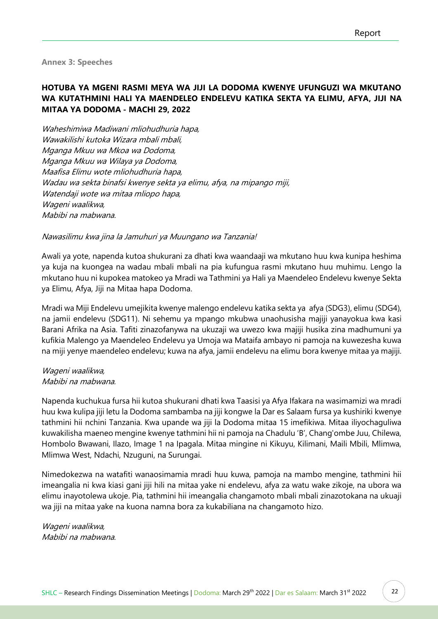<span id="page-23-0"></span>**Annex 3: Speeches**

# **HOTUBA YA MGENI RASMI MEYA WA JIJI LA DODOMA KWENYE UFUNGUZI WA MKUTANO WA KUTATHMINI HALI YA MAENDELEO ENDELEVU KATIKA SEKTA YA ELIMU, AFYA, JIJI NA MITAA YA DODOMA - MACHI 29, 2022**

Waheshimiwa Madiwani mliohudhuria hapa, Wawakilishi kutoka Wizara mbali mbali, Mganga Mkuu wa Mkoa wa Dodoma, Mganga Mkuu wa Wilaya ya Dodoma, Maafisa Elimu wote mliohudhuria hapa, Wadau wa sekta binafsi kwenye sekta ya elimu, afya, na mipango miji, Watendaji wote wa mitaa mliopo hapa, Wageni waalikwa, Mabibi na mabwana.

#### Nawasilimu kwa jina la Jamuhuri ya Muungano wa Tanzania!

Awali ya yote, napenda kutoa shukurani za dhati kwa waandaaji wa mkutano huu kwa kunipa heshima ya kuja na kuongea na wadau mbali mbali na pia kufungua rasmi mkutano huu muhimu. Lengo la mkutano huu ni kupokea matokeo ya Mradi wa Tathmini ya Hali ya Maendeleo Endelevu kwenye Sekta ya Elimu, Afya, Jiji na Mitaa hapa Dodoma.

Mradi wa Miji Endelevu umejikita kwenye malengo endelevu katika sekta ya afya (SDG3), elimu (SDG4), na jamii endelevu (SDG11). Ni sehemu ya mpango mkubwa unaohusisha majiji yanayokua kwa kasi Barani Afrika na Asia. Tafiti zinazofanywa na ukuzaji wa uwezo kwa majiji husika zina madhumuni ya kufikia Malengo ya Maendeleo Endelevu ya Umoja wa Mataifa ambayo ni pamoja na kuwezesha kuwa na miji yenye maendeleo endelevu; kuwa na afya, jamii endelevu na elimu bora kwenye mitaa ya majiji.

#### Wageni waalikwa, Mabibi na mabwana.

Napenda kuchukua fursa hii kutoa shukurani dhati kwa Taasisi ya Afya Ifakara na wasimamizi wa mradi huu kwa kulipa jiji letu la Dodoma sambamba na jiji kongwe la Dar es Salaam fursa ya kushiriki kwenye tathmini hii nchini Tanzania. Kwa upande wa jiji la Dodoma mitaa 15 imefikiwa. Mitaa iliyochaguliwa kuwakilisha maeneo mengine kwenye tathmini hii ni pamoja na Chadulu 'B', Chang'ombe Juu, Chilewa, Hombolo Bwawani, Ilazo, Image 1 na Ipagala. Mitaa mingine ni Kikuyu, Kilimani, Maili Mbili, Mlimwa, Mlimwa West, Ndachi, Nzuguni, na Surungai.

Nimedokezwa na watafiti wanaosimamia mradi huu kuwa, pamoja na mambo mengine, tathmini hii imeangalia ni kwa kiasi gani jiji hili na mitaa yake ni endelevu, afya za watu wake zikoje, na ubora wa elimu inayotolewa ukoje. Pia, tathmini hii imeangalia changamoto mbali mbali zinazotokana na ukuaji wa jiji na mitaa yake na kuona namna bora za kukabiliana na changamoto hizo.

Wageni waalikwa, Mabibi na mabwana.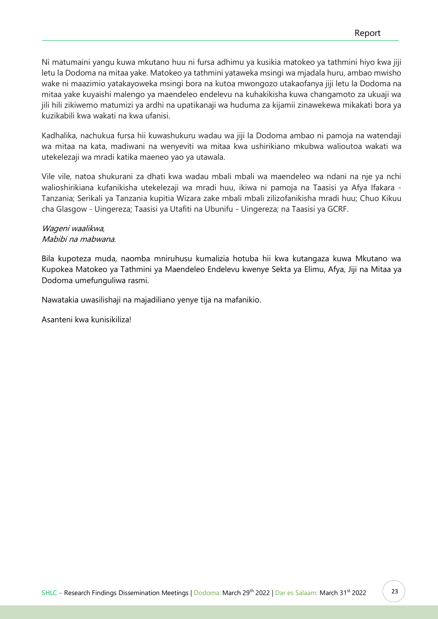Ni matumaini yangu kuwa mkutano huu ni fursa adhimu ya kusikia matokeo ya tathmini hiyo kwa jiji letu la Dodoma na mitaa yake. Matokeo ya tathmini yataweka msingi wa mjadala huru, ambao mwisho wake ni maazimio yatakayoweka msingi bora na kutoa mwongozo utakaofanya jiji letu la Dodoma na mitaa yake kuyaishi malengo ya maendeleo endelevu na kuhakikisha kuwa changamoto za ukuaji wa jili hili zikiwemo matumizi ya ardhi na upatikanaji wa huduma za kijamii zinawekewa mikakati bora ya kuzikabili kwa wakati na kwa ufanisi.

Kadhalika, nachukua fursa hii kuwashukuru wadau wa jiji la Dodoma ambao ni pamoja na watendaji wa mitaa na kata, madiwani na wenyeviti wa mitaa kwa ushirikiano mkubwa walioutoa wakati wa utekelezaji wa mradi katika maeneo yao ya utawala.

Vile vile, natoa shukurani za dhati kwa wadau mbali mbali wa maendeleo wa ndani na nje ya nchi walioshirikiana kufanikisha utekelezaji wa mradi huu, ikiwa ni pamoja na Taasisi ya Afya Ifakara - Tanzania; Serikali ya Tanzania kupitia Wizara zake mbali mbali zilizofanikisha mradi huu; Chuo Kikuu cha Glasgow - Uingereza; Taasisi ya Utafiti na Ubunifu - Uingereza; na Taasisi ya GCRF.

## Wageni waalikwa, Mabibi na mabwana.

Bila kupoteza muda, naomba mniruhusu kumalizia hotuba hii kwa kutangaza kuwa Mkutano wa Kupokea Matokeo ya Tathmini ya Maendeleo Endelevu kwenye Sekta ya Elimu, Afya, Jiji na Mitaa ya Dodoma umefunguliwa rasmi.

Nawatakia uwasilishaji na majadiliano yenye tija na mafanikio.

Asanteni kwa kunisikiliza!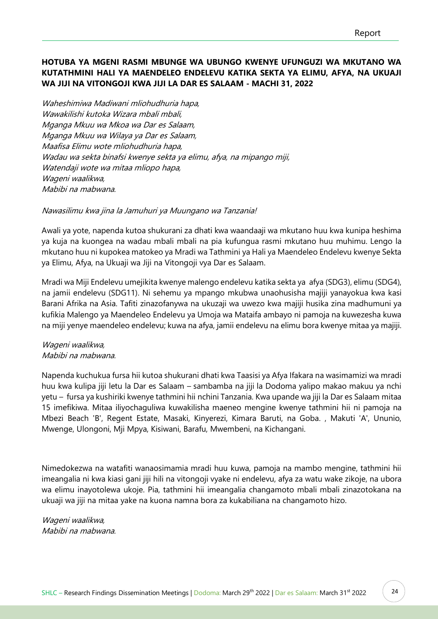# **HOTUBA YA MGENI RASMI MBUNGE WA UBUNGO KWENYE UFUNGUZI WA MKUTANO WA KUTATHMINI HALI YA MAENDELEO ENDELEVU KATIKA SEKTA YA ELIMU, AFYA, NA UKUAJI WA JIJI NA VITONGOJI KWA JIJI LA DAR ES SALAAM - MACHI 31, 2022**

Waheshimiwa Madiwani mliohudhuria hapa, Wawakilishi kutoka Wizara mbali mbali, Mganga Mkuu wa Mkoa wa Dar es Salaam, Mganga Mkuu wa Wilaya ya Dar es Salaam, Maafisa Elimu wote mliohudhuria hapa, Wadau wa sekta binafsi kwenye sekta ya elimu, afya, na mipango miji, Watendaji wote wa mitaa mliopo hapa, Wageni waalikwa, Mabibi na mabwana.

#### Nawasilimu kwa jina la Jamuhuri ya Muungano wa Tanzania!

Awali ya yote, napenda kutoa shukurani za dhati kwa waandaaji wa mkutano huu kwa kunipa heshima ya kuja na kuongea na wadau mbali mbali na pia kufungua rasmi mkutano huu muhimu. Lengo la mkutano huu ni kupokea matokeo ya Mradi wa Tathmini ya Hali ya Maendeleo Endelevu kwenye Sekta ya Elimu, Afya, na Ukuaji wa Jiji na Vitongoji vya Dar es Salaam.

Mradi wa Miji Endelevu umejikita kwenye malengo endelevu katika sekta ya afya (SDG3), elimu (SDG4), na jamii endelevu (SDG11). Ni sehemu ya mpango mkubwa unaohusisha majiji yanayokua kwa kasi Barani Afrika na Asia. Tafiti zinazofanywa na ukuzaji wa uwezo kwa majiji husika zina madhumuni ya kufikia Malengo ya Maendeleo Endelevu ya Umoja wa Mataifa ambayo ni pamoja na kuwezesha kuwa na miji yenye maendeleo endelevu; kuwa na afya, jamii endelevu na elimu bora kwenye mitaa ya majiji.

#### Wageni waalikwa, Mabibi na mabwana.

Napenda kuchukua fursa hii kutoa shukurani dhati kwa Taasisi ya Afya Ifakara na wasimamizi wa mradi huu kwa kulipa jiji letu la Dar es Salaam – sambamba na jiji la Dodoma yalipo makao makuu ya nchi yetu – fursa ya kushiriki kwenye tathmini hii nchini Tanzania. Kwa upande wa jiji la Dar es Salaam mitaa 15 imefikiwa. Mitaa iliyochaguliwa kuwakilisha maeneo mengine kwenye tathmini hii ni pamoja na Mbezi Beach 'B', Regent Estate, Masaki, Kinyerezi, Kimara Baruti, na Goba. , Makuti 'A', Ununio, Mwenge, Ulongoni, Mji Mpya, Kisiwani, Barafu, Mwembeni, na Kichangani.

Nimedokezwa na watafiti wanaosimamia mradi huu kuwa, pamoja na mambo mengine, tathmini hii imeangalia ni kwa kiasi gani jiji hili na vitongoji vyake ni endelevu, afya za watu wake zikoje, na ubora wa elimu inayotolewa ukoje. Pia, tathmini hii imeangalia changamoto mbali mbali zinazotokana na ukuaji wa jiji na mitaa yake na kuona namna bora za kukabiliana na changamoto hizo.

Wageni waalikwa, Mabibi na mabwana.

24